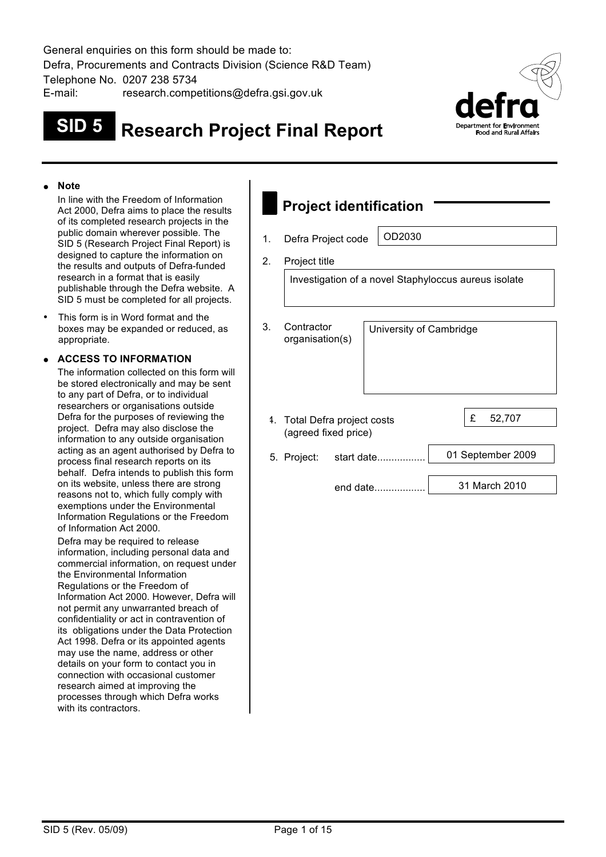General enquiries on this form should be made to: Defra, Procurements and Contracts Division (Science R&D Team) Telephone No. 0207 238 5734

E-mail: research.competitions@defra.gsi.gov.uk

# **SID 5 Research Project Final Report**



#### ! **Note**

In line with the Freedom of Information Act 2000, Defra aims to place the results of its completed research projects in the public domain wherever possible. The SID 5 (Research Project Final Report) is designed to capture the information on the results and outputs of Defra-funded research in a format that is easily publishable through the Defra website. A SID 5 must be completed for all projects.

This form is in Word format and the boxes may be expanded or reduced, as appropriate.

#### ! **ACCESS TO INFORMATION**

The information collected on this form will be stored electronically and may be sent to any part of Defra, or to individual researchers or organisations outside Defra for the purposes of reviewing the project. Defra may also disclose the information to any outside organisation acting as an agent authorised by Defra to process final research reports on its behalf. Defra intends to publish this form on its website, unless there are strong reasons not to, which fully comply with exemptions under the Environmental Information Regulations or the Freedom of Information Act 2000.

Defra may be required to release information, including personal data and commercial information, on request under the Environmental Information Regulations or the Freedom of Information Act 2000. However, Defra will not permit any unwarranted breach of confidentiality or act in contravention of its obligations under the Data Protection Act 1998. Defra or its appointed agents may use the name, address or other details on your form to contact you in connection with occasional customer research aimed at improving the processes through which Defra works with its contractors.

| <b>Project identification</b> |                                                      |            |                         |                   |  |  |  |  |
|-------------------------------|------------------------------------------------------|------------|-------------------------|-------------------|--|--|--|--|
| 1.                            | Defra Project code                                   |            | OD2030                  |                   |  |  |  |  |
| 2.                            | Project title                                        |            |                         |                   |  |  |  |  |
|                               | Investigation of a novel Staphyloccus aureus isolate |            |                         |                   |  |  |  |  |
| З.                            | Contractor<br>organisation(s)                        |            | University of Cambridge |                   |  |  |  |  |
| 4.                            | Total Defra project costs<br>(agreed fixed price)    |            |                         | £<br>52,707       |  |  |  |  |
|                               | 5. Project:                                          | start date |                         | 01 September 2009 |  |  |  |  |
|                               |                                                      | end date   |                         | 31 March 2010     |  |  |  |  |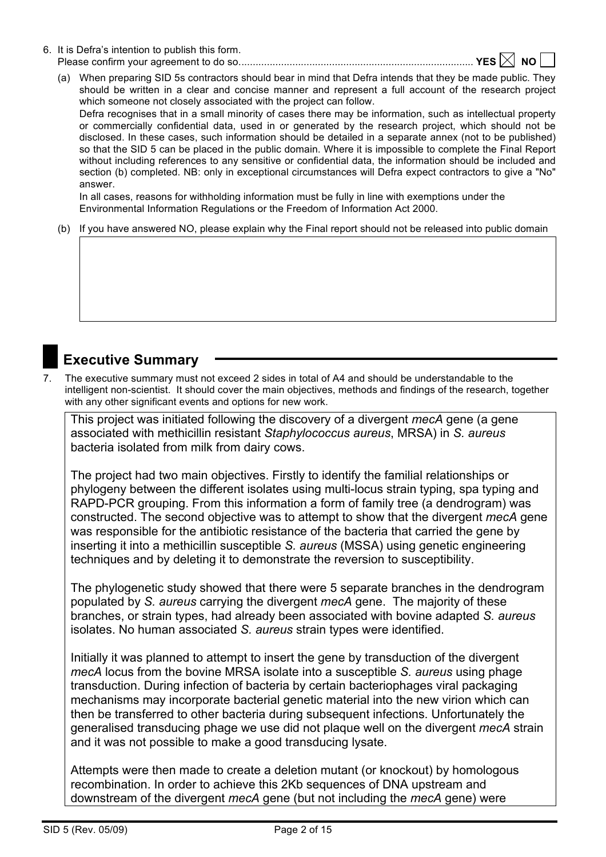- 6. It is Defra's intention to publish this form. Please confirm your agreement to do so................................................................................... **YES NO** 
	- (a) When preparing SID 5s contractors should bear in mind that Defra intends that they be made public. They should be written in a clear and concise manner and represent a full account of the research project which someone not closely associated with the project can follow.

Defra recognises that in a small minority of cases there may be information, such as intellectual property or commercially confidential data, used in or generated by the research project, which should not be disclosed. In these cases, such information should be detailed in a separate annex (not to be published) so that the SID 5 can be placed in the public domain. Where it is impossible to complete the Final Report without including references to any sensitive or confidential data, the information should be included and section (b) completed. NB: only in exceptional circumstances will Defra expect contractors to give a "No" answer.

In all cases, reasons for withholding information must be fully in line with exemptions under the Environmental Information Regulations or the Freedom of Information Act 2000.

(b) If you have answered NO, please explain why the Final report should not be released into public domain

## **Executive Summary**

7. The executive summary must not exceed 2 sides in total of A4 and should be understandable to the intelligent non-scientist. It should cover the main objectives, methods and findings of the research, together with any other significant events and options for new work.

This project was initiated following the discovery of a divergent *mecA* gene (a gene associated with methicillin resistant *Staphylococcus aureus*, MRSA) in *S. aureus* bacteria isolated from milk from dairy cows.

The project had two main objectives. Firstly to identify the familial relationships or phylogeny between the different isolates using multi-locus strain typing, spa typing and RAPD-PCR grouping. From this information a form of family tree (a dendrogram) was constructed. The second objective was to attempt to show that the divergent *mecA* gene was responsible for the antibiotic resistance of the bacteria that carried the gene by inserting it into a methicillin susceptible *S. aureus* (MSSA) using genetic engineering techniques and by deleting it to demonstrate the reversion to susceptibility.

The phylogenetic study showed that there were 5 separate branches in the dendrogram populated by *S. aureus* carrying the divergent *mecA* gene. The majority of these branches, or strain types, had already been associated with bovine adapted *S. aureus* isolates. No human associated *S. aureus* strain types were identified.

Initially it was planned to attempt to insert the gene by transduction of the divergent *mecA* locus from the bovine MRSA isolate into a susceptible *S. aureus* using phage transduction. During infection of bacteria by certain bacteriophages viral packaging mechanisms may incorporate bacterial genetic material into the new virion which can then be transferred to other bacteria during subsequent infections. Unfortunately the generalised transducing phage we use did not plaque well on the divergent *mecA* strain and it was not possible to make a good transducing lysate.

Attempts were then made to create a deletion mutant (or knockout) by homologous recombination. In order to achieve this 2Kb sequences of DNA upstream and downstream of the divergent *mecA* gene (but not including the *mecA* gene) were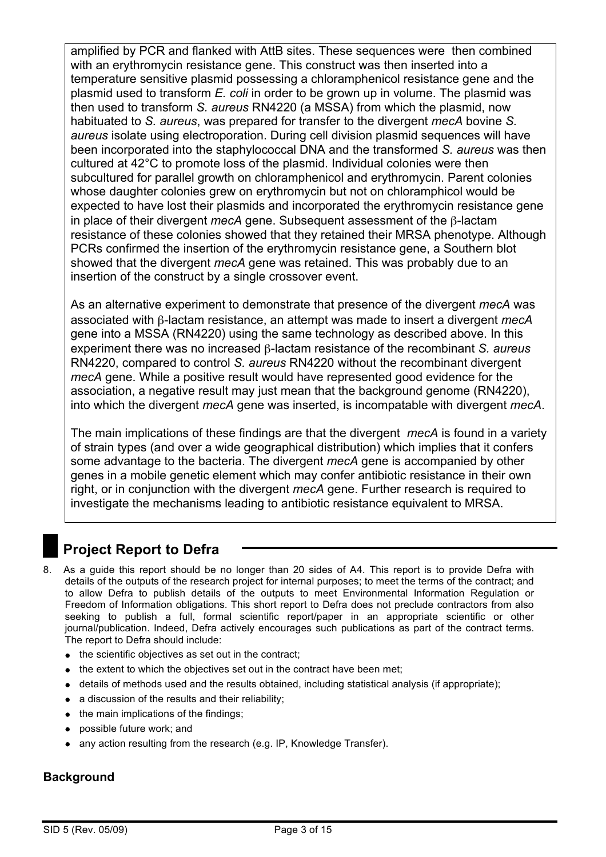amplified by PCR and flanked with AttB sites. These sequences were then combined with an erythromycin resistance gene. This construct was then inserted into a temperature sensitive plasmid possessing a chloramphenicol resistance gene and the plasmid used to transform *E. coli* in order to be grown up in volume. The plasmid was then used to transform *S. aureus* RN4220 (a MSSA) from which the plasmid, now habituated to *S. aureus*, was prepared for transfer to the divergent *mecA* bovine *S. aureus* isolate using electroporation. During cell division plasmid sequences will have been incorporated into the staphylococcal DNA and the transformed *S. aureus* was then cultured at 42°C to promote loss of the plasmid. Individual colonies were then subcultured for parallel growth on chloramphenicol and erythromycin. Parent colonies whose daughter colonies grew on erythromycin but not on chloramphicol would be expected to have lost their plasmids and incorporated the erythromycin resistance gene in place of their divergent *mecA* gene. Subsequent assessment of the β-lactam resistance of these colonies showed that they retained their MRSA phenotype. Although PCRs confirmed the insertion of the erythromycin resistance gene, a Southern blot showed that the divergent *mecA* gene was retained. This was probably due to an insertion of the construct by a single crossover event.

As an alternative experiment to demonstrate that presence of the divergent *mecA* was associated with β-lactam resistance, an attempt was made to insert a divergent *mecA* gene into a MSSA (RN4220) using the same technology as described above. In this experiment there was no increased β-lactam resistance of the recombinant *S. aureus* RN4220, compared to control *S. aureus* RN4220 without the recombinant divergent *mecA* gene. While a positive result would have represented good evidence for the association, a negative result may just mean that the background genome (RN4220), into which the divergent *mecA* gene was inserted, is incompatable with divergent *mecA*.

The main implications of these findings are that the divergent *mecA* is found in a variety of strain types (and over a wide geographical distribution) which implies that it confers some advantage to the bacteria. The divergent *mecA* gene is accompanied by other genes in a mobile genetic element which may confer antibiotic resistance in their own right, or in conjunction with the divergent *mecA* gene. Further research is required to investigate the mechanisms leading to antibiotic resistance equivalent to MRSA.

# **Project Report to Defra**

- 8. As a guide this report should be no longer than 20 sides of A4. This report is to provide Defra with details of the outputs of the research project for internal purposes; to meet the terms of the contract; and to allow Defra to publish details of the outputs to meet Environmental Information Regulation or Freedom of Information obligations. This short report to Defra does not preclude contractors from also seeking to publish a full, formal scientific report/paper in an appropriate scientific or other journal/publication. Indeed, Defra actively encourages such publications as part of the contract terms. The report to Defra should include:
	- $\bullet$  the scientific objectives as set out in the contract:
	- the extent to which the objectives set out in the contract have been met;
	- ! details of methods used and the results obtained, including statistical analysis (if appropriate);
	- $\bullet$  a discussion of the results and their reliability:
	- $\bullet$  the main implications of the findings;
	- possible future work; and
	- any action resulting from the research (e.g. IP, Knowledge Transfer).

#### **Background**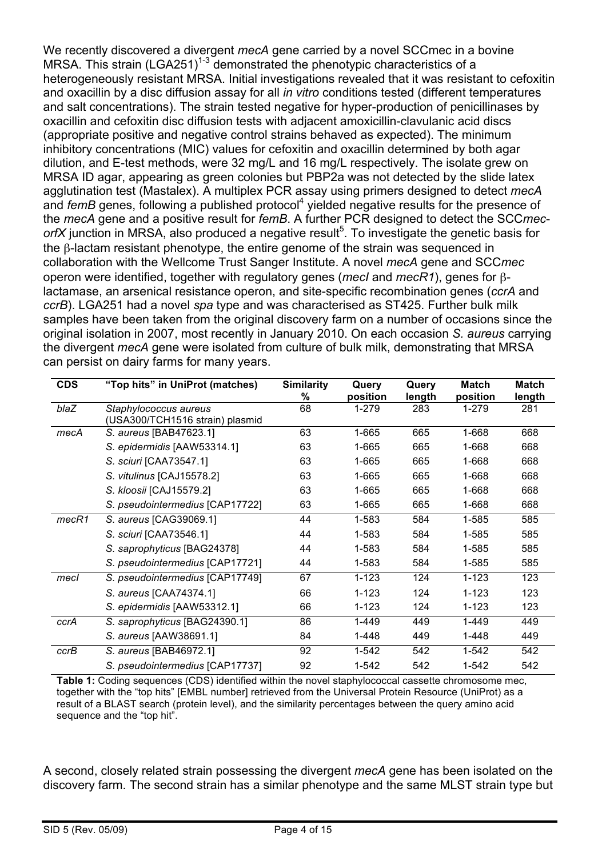We recently discovered a divergent *mecA* gene carried by a novel SCCmec in a bovine MRSA. This strain (LGA251)<sup>1-3</sup> demonstrated the phenotypic characteristics of a heterogeneously resistant MRSA. Initial investigations revealed that it was resistant to cefoxitin and oxacillin by a disc diffusion assay for all *in vitro* conditions tested (different temperatures and salt concentrations). The strain tested negative for hyper-production of penicillinases by oxacillin and cefoxitin disc diffusion tests with adjacent amoxicillin-clavulanic acid discs (appropriate positive and negative control strains behaved as expected). The minimum inhibitory concentrations (MIC) values for cefoxitin and oxacillin determined by both agar dilution, and E-test methods, were 32 mg/L and 16 mg/L respectively. The isolate grew on MRSA ID agar, appearing as green colonies but PBP2a was not detected by the slide latex agglutination test (Mastalex). A multiplex PCR assay using primers designed to detect *mecA* and *femB* genes, following a published protocol<sup>4</sup> yielded negative results for the presence of the *mecA* gene and a positive result for *femB*. A further PCR designed to detect the SCC*mec*orfX junction in MRSA, also produced a negative result<sup>5</sup>. To investigate the genetic basis for the β-lactam resistant phenotype, the entire genome of the strain was sequenced in collaboration with the Wellcome Trust Sanger Institute. A novel *mecA* gene and SCC*mec* operon were identified, together with regulatory genes (*mecI* and *mecR1*), genes for βlactamase, an arsenical resistance operon, and site-specific recombination genes (*ccrA* and *ccrB*). LGA251 had a novel *spa* type and was characterised as ST425. Further bulk milk samples have been taken from the original discovery farm on a number of occasions since the original isolation in 2007, most recently in January 2010. On each occasion *S. aureus* carrying the divergent *mecA* gene were isolated from culture of bulk milk, demonstrating that MRSA can persist on dairy farms for many years.

| <b>CDS</b> | "Top hits" in UniProt (matches) | <b>Similarity</b><br>% | Query<br>position | Query         | Match<br>position | Match         |
|------------|---------------------------------|------------------------|-------------------|---------------|-------------------|---------------|
| blaZ       | Staphylococcus aureus           | 68                     | 1-279             | length<br>283 | 1-279             | length<br>281 |
|            | (USA300/TCH1516 strain) plasmid |                        |                   |               |                   |               |
| mecA       | S. aureus [BAB47623.1]          | 63                     | 1-665             | 665           | 1-668             | 668           |
|            | S. epidermidis [AAW53314.1]     | 63                     | 1-665             | 665           | 1-668             | 668           |
|            | S. sciuri [CAA73547.1]          | 63                     | 1-665             | 665           | 1-668             | 668           |
|            | S. vitulinus [CAJ15578.2]       | 63                     | 1-665             | 665           | 1-668             | 668           |
|            | S. kloosii [CAJ15579.2]         | 63                     | 1-665             | 665           | 1-668             | 668           |
|            | S. pseudointermedius [CAP17722] | 63                     | 1-665             | 665           | 1-668             | 668           |
| mecR1      | S. aureus [CAG39069.1]          | 44                     | 1-583             | 584           | 1-585             | 585           |
|            | S. sciuri [CAA73546.1]          | 44                     | 1-583             | 584           | 1-585             | 585           |
|            | S. saprophyticus [BAG24378]     | 44                     | 1-583             | 584           | 1-585             | 585           |
|            | S. pseudointermedius [CAP17721] | 44                     | 1-583             | 584           | 1-585             | 585           |
| mecl       | S. pseudointermedius [CAP17749] | 67                     | $1 - 123$         | 124           | $1 - 123$         | 123           |
|            | S. aureus [CAA74374.1]          | 66                     | 1-123             | 124           | $1 - 123$         | 123           |
|            | S. epidermidis [AAW53312.1]     | 66                     | $1 - 123$         | 124           | $1 - 123$         | 123           |
| ccrA       | S. saprophyticus [BAG24390.1]   | 86                     | 1-449             | 449           | 1-449             | 449           |
|            | S. aureus [AAW38691.1]          | 84                     | 1-448             | 449           | 1-448             | 449           |
| ccrB       | S. aureus [BAB46972.1]          | 92                     | 1-542             | 542           | 1-542             | 542           |
|            | S. pseudointermedius [CAP17737] | 92                     | 1-542             | 542           | 1-542             | 542           |

**Table 1:** Coding sequences (CDS) identified within the novel staphylococcal cassette chromosome mec, together with the "top hits" [EMBL number] retrieved from the Universal Protein Resource (UniProt) as a result of a BLAST search (protein level), and the similarity percentages between the query amino acid sequence and the "top hit".

A second, closely related strain possessing the divergent *mecA* gene has been isolated on the discovery farm. The second strain has a similar phenotype and the same MLST strain type but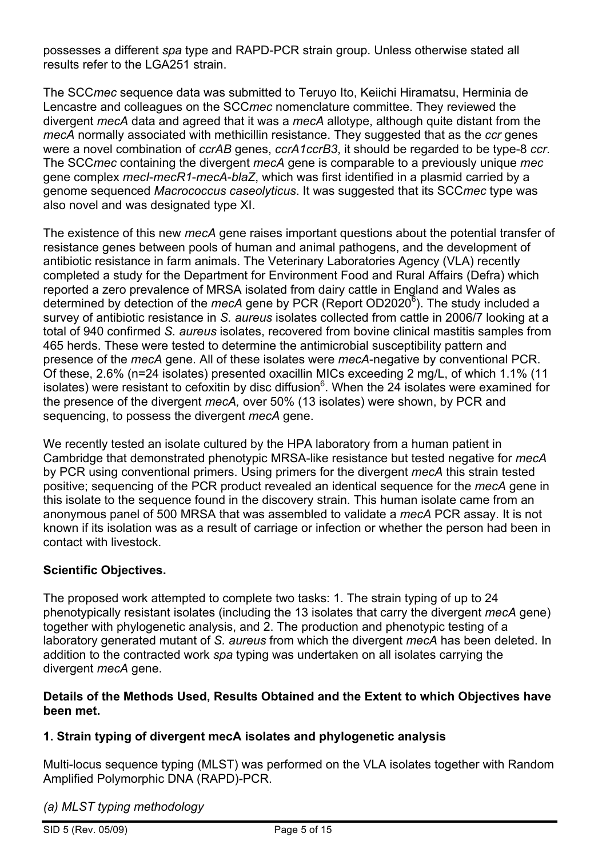possesses a different *spa* type and RAPD-PCR strain group. Unless otherwise stated all results refer to the LGA251 strain.

The SCC*mec* sequence data was submitted to Teruyo Ito, Keiichi Hiramatsu, Herminia de Lencastre and colleagues on the SCC*mec* nomenclature committee. They reviewed the divergent *mecA* data and agreed that it was a *mecA* allotype, although quite distant from the *mecA* normally associated with methicillin resistance. They suggested that as the *ccr* genes were a novel combination of *ccrAB* genes, *ccrA1ccrB3*, it should be regarded to be type-8 *ccr*. The SCC*mec* containing the divergent *mecA* gene is comparable to a previously unique *mec* gene complex *mecI*-*mecR1*-*mecA*-*blaZ*, which was first identified in a plasmid carried by a genome sequenced *Macrococcus caseolyticus*. It was suggested that its SCC*mec* type was also novel and was designated type XI.

The existence of this new *mecA* gene raises important questions about the potential transfer of resistance genes between pools of human and animal pathogens, and the development of antibiotic resistance in farm animals. The Veterinary Laboratories Agency (VLA) recently completed a study for the Department for Environment Food and Rural Affairs (Defra) which reported a zero prevalence of MRSA isolated from dairy cattle in England and Wales as determined by detection of the *mecA* gene by PCR (Report OD2020<sup>6</sup>). The study included a survey of antibiotic resistance in *S. aureus* isolates collected from cattle in 2006/7 looking at a total of 940 confirmed *S. aureus* isolates, recovered from bovine clinical mastitis samples from 465 herds. These were tested to determine the antimicrobial susceptibility pattern and presence of the *mecA* gene. All of these isolates were *mecA*-negative by conventional PCR. Of these, 2.6% (n=24 isolates) presented oxacillin MICs exceeding 2 mg/L, of which 1.1% (11 isolates) were resistant to cefoxitin by disc diffusion<sup>6</sup>. When the 24 isolates were examined for the presence of the divergent *mecA,* over 50% (13 isolates) were shown, by PCR and sequencing, to possess the divergent *mecA* gene.

We recently tested an isolate cultured by the HPA laboratory from a human patient in Cambridge that demonstrated phenotypic MRSA-like resistance but tested negative for *mecA* by PCR using conventional primers. Using primers for the divergent *mecA* this strain tested positive; sequencing of the PCR product revealed an identical sequence for the *mecA* gene in this isolate to the sequence found in the discovery strain. This human isolate came from an anonymous panel of 500 MRSA that was assembled to validate a *mecA* PCR assay. It is not known if its isolation was as a result of carriage or infection or whether the person had been in contact with livestock.

## **Scientific Objectives.**

The proposed work attempted to complete two tasks: 1. The strain typing of up to 24 phenotypically resistant isolates (including the 13 isolates that carry the divergent *mecA* gene) together with phylogenetic analysis, and 2. The production and phenotypic testing of a laboratory generated mutant of *S. aureus* from which the divergent *mecA* has been deleted. In addition to the contracted work *spa* typing was undertaken on all isolates carrying the divergent *mecA* gene.

#### **Details of the Methods Used, Results Obtained and the Extent to which Objectives have been met.**

## **1. Strain typing of divergent mecA isolates and phylogenetic analysis**

Multi-locus sequence typing (MLST) was performed on the VLA isolates together with Random Amplified Polymorphic DNA (RAPD)-PCR.

*(a) MLST typing methodology*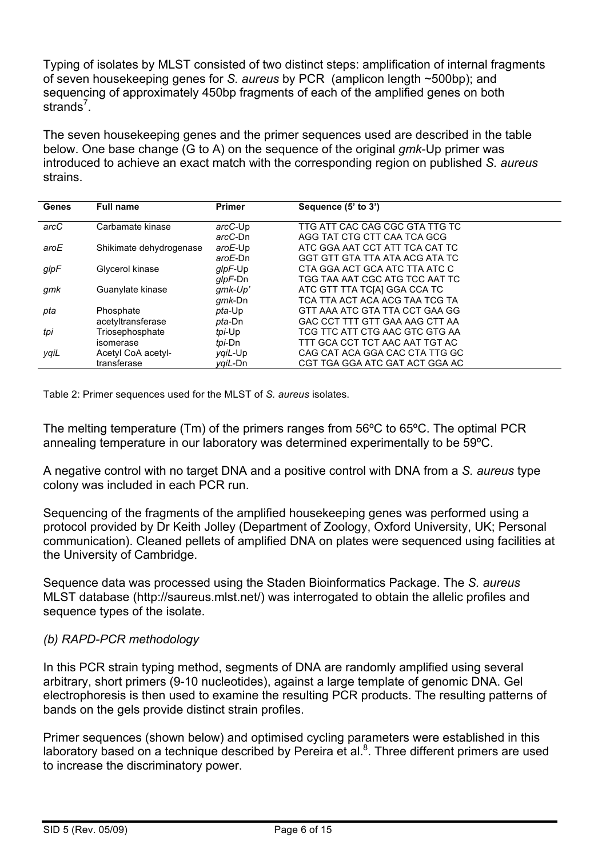Typing of isolates by MLST consisted of two distinct steps: amplification of internal fragments of seven housekeeping genes for *S. aureus* by PCR (amplicon length ~500bp); and sequencing of approximately 450bp fragments of each of the amplified genes on both strands<sup>7</sup>.

The seven housekeeping genes and the primer sequences used are described in the table below. One base change (G to A) on the sequence of the original *gmk*-Up primer was introduced to achieve an exact match with the corresponding region on published *S. aureus* strains.

| Genes | <b>Full name</b>        | <b>Primer</b>  | Sequence (5' to 3')            |
|-------|-------------------------|----------------|--------------------------------|
| arcC  | Carbamate kinase        | arcC-Up        | TTG ATT CAC CAG CGC GTA TTG TC |
|       |                         | arcC-Dn        | AGG TAT CTG CTT CAA TCA GCG    |
| aroE  | Shikimate dehydrogenase | aroE-Up        | ATC GGA AAT CCT ATT TCA CAT TC |
|       |                         | aroE-Dn        | GGT GTT GTA TTA ATA ACG ATA TC |
| glpF  | Glycerol kinase         | glpF-Up        | CTA GGA ACT GCA ATC TTA ATC C  |
|       |                         | glpF-Dn        | TGG TAA AAT CGC ATG TCC AAT TC |
| gmk   | Guanylate kinase        | $g$ mk-Up'     | ATC GTT TTA TC[A] GGA CCA TC   |
|       |                         | gmk-Dn         | TCA TTA ACT ACA ACG TAA TCG TA |
| pta   | Phosphate               | pta-Up         | GTT AAA ATC GTA TTA CCT GAA GG |
|       | acetyltransferase       | <i>pta</i> -Dn | GAC CCT TTT GTT GAA AAG CTT AA |
| tpi   | Triosephosphate         | tpi-Up         | TCG TTC ATT CTG AAC GTC GTG AA |
|       | isomerase               | tpi-Dn         | TTT GCA CCT TCT AAC AAT TGT AC |
| yqiL  | Acetyl CoA acetyl-      | ygiL-Up        | CAG CAT ACA GGA CAC CTA TTG GC |
|       | transferase             | vaiL-Dn        | CGT TGA GGA ATC GAT ACT GGA AC |

Table 2: Primer sequences used for the MLST of *S. aureus* isolates.

The melting temperature (Tm) of the primers ranges from 56ºC to 65ºC. The optimal PCR annealing temperature in our laboratory was determined experimentally to be 59ºC.

A negative control with no target DNA and a positive control with DNA from a *S. aureus* type colony was included in each PCR run.

Sequencing of the fragments of the amplified housekeeping genes was performed using a protocol provided by Dr Keith Jolley (Department of Zoology, Oxford University, UK; Personal communication). Cleaned pellets of amplified DNA on plates were sequenced using facilities at the University of Cambridge.

Sequence data was processed using the Staden Bioinformatics Package. The *S. aureus* MLST database (http://saureus.mlst.net/) was interrogated to obtain the allelic profiles and sequence types of the isolate.

#### *(b) RAPD-PCR methodology*

In this PCR strain typing method, segments of DNA are randomly amplified using several arbitrary, short primers (9-10 nucleotides), against a large template of genomic DNA. Gel electrophoresis is then used to examine the resulting PCR products. The resulting patterns of bands on the gels provide distinct strain profiles.

Primer sequences (shown below) and optimised cycling parameters were established in this laboratory based on a technique described by Pereira et al. $8$ . Three different primers are used to increase the discriminatory power.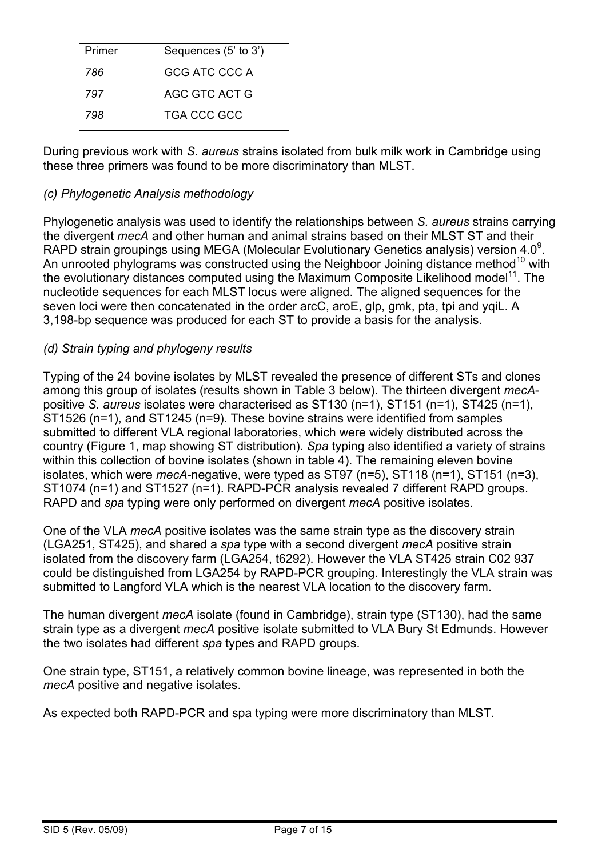| Primer | Sequences (5' to 3') |
|--------|----------------------|
| 786    | GCG ATC CCC A        |
| 797    | AGC GTC ACT G        |
| 798    | <b>TGA CCC GCC</b>   |

During previous work with *S. aureus* strains isolated from bulk milk work in Cambridge using these three primers was found to be more discriminatory than MLST.

#### *(c) Phylogenetic Analysis methodology*

Phylogenetic analysis was used to identify the relationships between *S. aureus* strains carrying the divergent *mecA* and other human and animal strains based on their MLST ST and their RAPD strain groupings using MEGA (Molecular Evolutionary Genetics analysis) version 4.0 $^9$ . An unrooted phylograms was constructed using the Neighboor Joining distance method<sup>10</sup> with the evolutionary distances computed using the Maximum Composite Likelihood model<sup>11</sup>. The nucleotide sequences for each MLST locus were aligned. The aligned sequences for the seven loci were then concatenated in the order arcC, aroE, glp, gmk, pta, tpi and yqiL. A 3,198-bp sequence was produced for each ST to provide a basis for the analysis.

#### *(d) Strain typing and phylogeny results*

Typing of the 24 bovine isolates by MLST revealed the presence of different STs and clones among this group of isolates (results shown in Table 3 below). The thirteen divergent *mecA*positive *S. aureus* isolates were characterised as ST130 (n=1), ST151 (n=1), ST425 (n=1), ST1526 (n=1), and ST1245 (n=9). These bovine strains were identified from samples submitted to different VLA regional laboratories, which were widely distributed across the country (Figure 1, map showing ST distribution). *Spa* typing also identified a variety of strains within this collection of bovine isolates (shown in table 4). The remaining eleven bovine isolates, which were *mecA*-negative, were typed as ST97 (n=5), ST118 (n=1), ST151 (n=3), ST1074 (n=1) and ST1527 (n=1). RAPD-PCR analysis revealed 7 different RAPD groups. RAPD and *spa* typing were only performed on divergent *mecA* positive isolates.

One of the VLA *mecA* positive isolates was the same strain type as the discovery strain (LGA251, ST425), and shared a *spa* type with a second divergent *mecA* positive strain isolated from the discovery farm (LGA254, t6292). However the VLA ST425 strain C02 937 could be distinguished from LGA254 by RAPD-PCR grouping. Interestingly the VLA strain was submitted to Langford VLA which is the nearest VLA location to the discovery farm.

The human divergent *mecA* isolate (found in Cambridge), strain type (ST130), had the same strain type as a divergent *mecA* positive isolate submitted to VLA Bury St Edmunds. However the two isolates had different *spa* types and RAPD groups.

One strain type, ST151, a relatively common bovine lineage, was represented in both the *mecA* positive and negative isolates.

As expected both RAPD-PCR and spa typing were more discriminatory than MLST.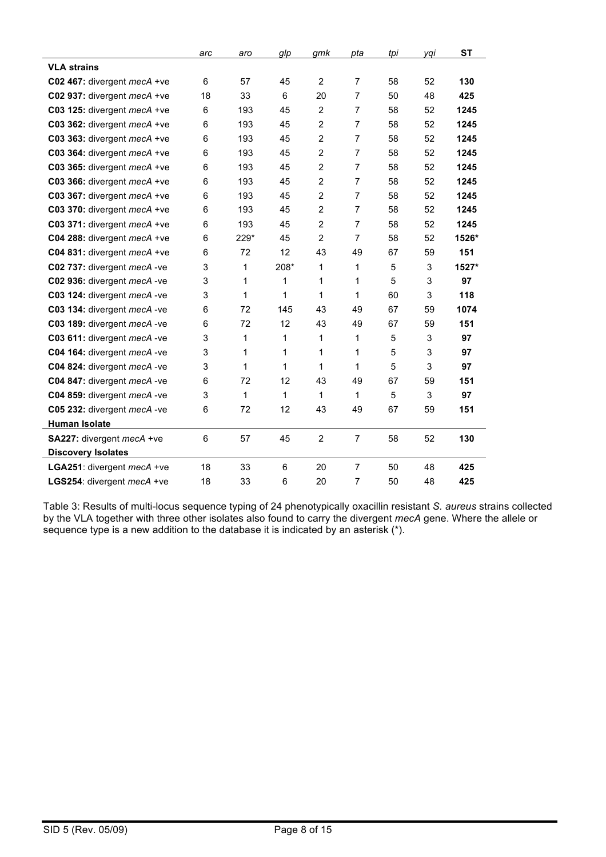|                             | arc | aro  | glp  | gmk            | pta            | tpi | yqi | <b>ST</b> |
|-----------------------------|-----|------|------|----------------|----------------|-----|-----|-----------|
| <b>VLA strains</b>          |     |      |      |                |                |     |     |           |
| C02 467: divergent mecA +ve | 6   | 57   | 45   | $\overline{2}$ | $\overline{7}$ | 58  | 52  | 130       |
| C02 937: divergent mecA +ve | 18  | 33   | 6    | 20             | 7              | 50  | 48  | 425       |
| C03 125: divergent mecA +ve | 6   | 193  | 45   | $\overline{c}$ | $\overline{7}$ | 58  | 52  | 1245      |
| C03 362: divergent mecA +ve | 6   | 193  | 45   | $\overline{2}$ | $\overline{7}$ | 58  | 52  | 1245      |
| C03 363: divergent mecA +ve | 6   | 193  | 45   | $\overline{c}$ | 7              | 58  | 52  | 1245      |
| C03 364: divergent mecA +ve | 6   | 193  | 45   | $\overline{2}$ | $\overline{7}$ | 58  | 52  | 1245      |
| C03 365: divergent mecA +ve | 6   | 193  | 45   | $\overline{c}$ | $\overline{7}$ | 58  | 52  | 1245      |
| C03 366: divergent mecA +ve | 6   | 193  | 45   | $\overline{c}$ | $\overline{7}$ | 58  | 52  | 1245      |
| C03 367: divergent mecA +ve | 6   | 193  | 45   | $\overline{2}$ | $\overline{7}$ | 58  | 52  | 1245      |
| C03 370: divergent mecA +ve | 6   | 193  | 45   | $\overline{2}$ | $\overline{7}$ | 58  | 52  | 1245      |
| C03 371: divergent mecA +ve | 6   | 193  | 45   | $\overline{c}$ | $\overline{7}$ | 58  | 52  | 1245      |
| C04 288: divergent mecA +ve | 6   | 229* | 45   | $\overline{2}$ | 7              | 58  | 52  | 1526*     |
| C04 831: divergent mecA +ve | 6   | 72   | 12   | 43             | 49             | 67  | 59  | 151       |
| C02 737: divergent mecA -ve | 3   | 1    | 208* | 1              | 1              | 5   | 3   | 1527*     |
| C02 936: divergent mecA -ve | 3   | 1    | 1    | 1              | 1              | 5   | 3   | 97        |
| C03 124: divergent mecA -ve | 3   | 1    | 1    | 1              | 1              | 60  | 3   | 118       |
| C03 134: divergent mecA -ve | 6   | 72   | 145  | 43             | 49             | 67  | 59  | 1074      |
| C03 189: divergent mecA -ve | 6   | 72   | 12   | 43             | 49             | 67  | 59  | 151       |
| C03 611: divergent mecA -ve | 3   | 1    | 1    | 1              | 1              | 5   | 3   | 97        |
| C04 164: divergent mecA -ve | 3   | 1    | 1    | 1              | 1              | 5   | 3   | 97        |
| C04 824: divergent mecA -ve | 3   | 1    | 1    | 1              | 1              | 5   | 3   | 97        |
| C04 847: divergent mecA -ve | 6   | 72   | 12   | 43             | 49             | 67  | 59  | 151       |
| C04 859: divergent mecA -ve | 3   | 1    | 1    | 1              | 1              | 5   | 3   | 97        |
| C05 232: divergent mecA -ve | 6   | 72   | 12   | 43             | 49             | 67  | 59  | 151       |
| Human Isolate               |     |      |      |                |                |     |     |           |
| SA227: divergent mecA +ve   | 6   | 57   | 45   | $\overline{c}$ | $\overline{7}$ | 58  | 52  | 130       |
| <b>Discovery Isolates</b>   |     |      |      |                |                |     |     |           |
| LGA251: divergent mecA +ve  | 18  | 33   | 6    | 20             | $\overline{7}$ | 50  | 48  | 425       |
| LGS254: divergent mecA +ve  | 18  | 33   | 6    | 20             | 7              | 50  | 48  | 425       |

Table 3: Results of multi-locus sequence typing of 24 phenotypically oxacillin resistant *S. aureus* strains collected by the VLA together with three other isolates also found to carry the divergent *mecA* gene. Where the allele or sequence type is a new addition to the database it is indicated by an asterisk (\*).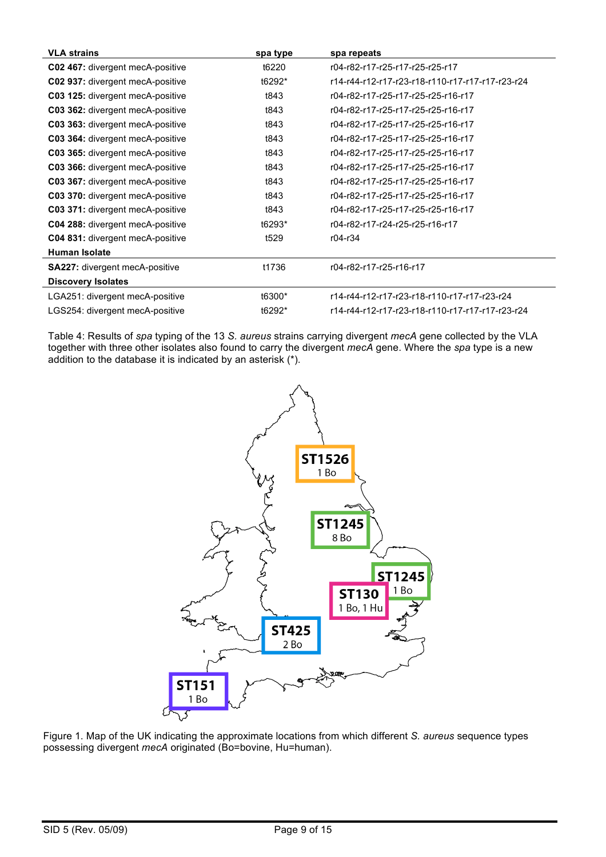| <b>VLA strains</b>                      | spa type         | spa repeats                                      |
|-----------------------------------------|------------------|--------------------------------------------------|
| C02 467: divergent mecA-positive        | t6220            | r04-r82-r17-r25-r17-r25-r25-r17                  |
| C02 937: divergent mecA-positive        | t6292*           | r14-r44-r12-r17-r23-r18-r110-r17-r17-r17-r23-r24 |
| C03 125: divergent mecA-positive        | t843             | r04-r82-r17-r25-r17-r25-r25-r16-r17              |
| C03 362: divergent mecA-positive        | t843             | r04-r82-r17-r25-r17-r25-r25-r16-r17              |
| C03 363: divergent mecA-positive        | t843             | r04-r82-r17-r25-r17-r25-r25-r16-r17              |
| C03 364: divergent mecA-positive        | t843             | r04-r82-r17-r25-r17-r25-r25-r16-r17              |
| C03 365: divergent mecA-positive        | t843             | r04-r82-r17-r25-r17-r25-r25-r16-r17              |
| C03 366: divergent mecA-positive        | t843             | r04-r82-r17-r25-r17-r25-r25-r16-r17              |
| C03 367: divergent mecA-positive        | t843             | r04-r82-r17-r25-r17-r25-r25-r16-r17              |
| C03 370: divergent mecA-positive        | t843             | r04-r82-r17-r25-r17-r25-r25-r16-r17              |
| C03 371: divergent mecA-positive        | t843             | r04-r82-r17-r25-r17-r25-r25-r16-r17              |
| C04 288: divergent mecA-positive        | t6293*           | r04-r82-r17-r24-r25-r25-r16-r17                  |
| <b>C04 831:</b> divergent mecA-positive | t <sub>529</sub> | r04-r34                                          |
| <b>Human Isolate</b>                    |                  |                                                  |
| SA227: divergent mecA-positive          | t1736            | r04-r82-r17-r25-r16-r17                          |
| <b>Discovery Isolates</b>               |                  |                                                  |
| LGA251: divergent mecA-positive         | t6300*           | r14-r44-r12-r17-r23-r18-r110-r17-r17-r23-r24     |
| LGS254: divergent mecA-positive         | t6292*           | r14-r44-r12-r17-r23-r18-r110-r17-r17-r17-r23-r24 |

Table 4: Results of *spa* typing of the 13 *S. aureus* strains carrying divergent *mecA* gene collected by the VLA together with three other isolates also found to carry the divergent *mecA* gene. Where the *spa* type is a new addition to the database it is indicated by an asterisk (\*).



Figure 1. Map of the UK indicating the approximate locations from which different *S. aureus* sequence types possessing divergent *mecA* originated (Bo=bovine, Hu=human).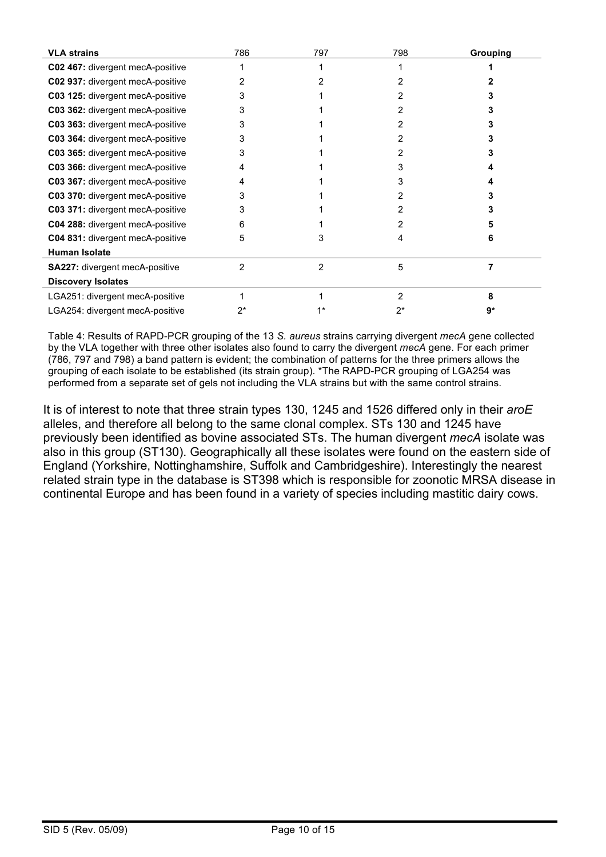| <b>VLA strains</b>               | 786 | 797 | 798 | Grouping |
|----------------------------------|-----|-----|-----|----------|
| C02 467: divergent mecA-positive |     |     |     |          |
| C02 937: divergent mecA-positive |     |     |     |          |
| C03 125: divergent mecA-positive | 3   |     |     |          |
| C03 362: divergent mecA-positive | 3   |     |     |          |
| C03 363: divergent mecA-positive | 3   |     |     |          |
| C03 364: divergent mecA-positive | 3   |     |     |          |
| C03 365: divergent mecA-positive | 3   |     |     |          |
| C03 366: divergent mecA-positive | 4   |     |     |          |
| C03 367: divergent mecA-positive | 4   |     | 3   |          |
| C03 370: divergent mecA-positive | 3   |     |     |          |
| C03 371: divergent mecA-positive | 3   |     |     |          |
| C04 288: divergent mecA-positive | 6   |     |     |          |
| C04 831: divergent mecA-positive | 5   | 3   | 4   | 6        |
| <b>Human Isolate</b>             |     |     |     |          |
| SA227: divergent mecA-positive   | 2   | 2   | 5   |          |
| <b>Discovery Isolates</b>        |     |     |     |          |
| LGA251: divergent mecA-positive  |     |     | 2   | 8        |
| LGA254: divergent mecA-positive  | 2*  |     | 2*  | g*       |

Table 4: Results of RAPD-PCR grouping of the 13 *S. aureus* strains carrying divergent *mecA* gene collected by the VLA together with three other isolates also found to carry the divergent *mecA* gene. For each primer (786, 797 and 798) a band pattern is evident; the combination of patterns for the three primers allows the grouping of each isolate to be established (its strain group). \*The RAPD-PCR grouping of LGA254 was performed from a separate set of gels not including the VLA strains but with the same control strains.

It is of interest to note that three strain types 130, 1245 and 1526 differed only in their *aroE* alleles, and therefore all belong to the same clonal complex. STs 130 and 1245 have previously been identified as bovine associated STs. The human divergent *mecA* isolate was also in this group (ST130). Geographically all these isolates were found on the eastern side of England (Yorkshire, Nottinghamshire, Suffolk and Cambridgeshire). Interestingly the nearest related strain type in the database is ST398 which is responsible for zoonotic MRSA disease in continental Europe and has been found in a variety of species including mastitic dairy cows.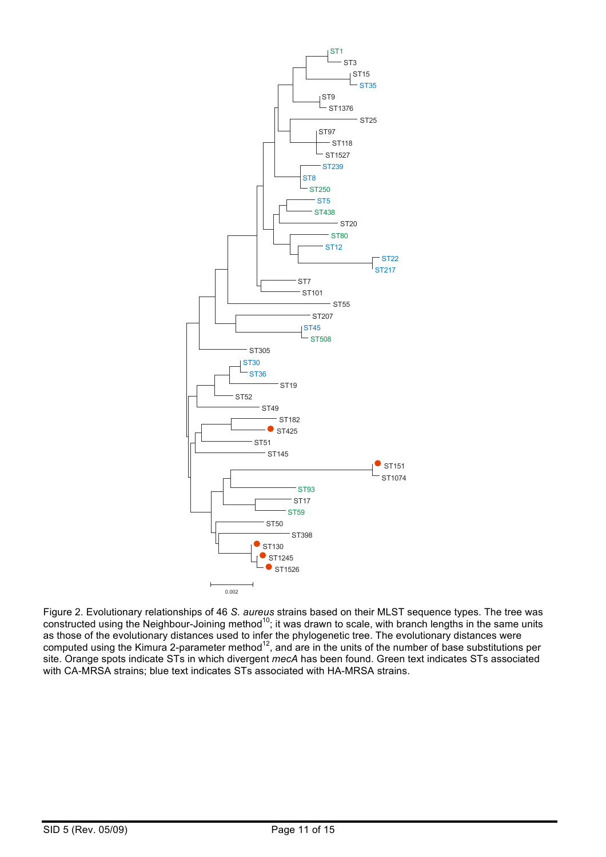

Figure 2. Evolutionary relationships of 46 *S. aureus* strains based on their MLST sequence types. The tree was constructed using the Neighbour-Joining method<sup>10</sup>; it was drawn to scale, with branch lengths in the same units as those of the evolutionary distances used to infer the phylogenetic tree. The evolutionary distances were computed using the Kimura 2-parameter method $^{12}$ , and are in the units of the number of base substitutions per site. Orange spots indicate STs in which divergent *mecA* has been found. Green text indicates STs associated with CA-MRSA strains; blue text indicates STs associated with HA-MRSA strains.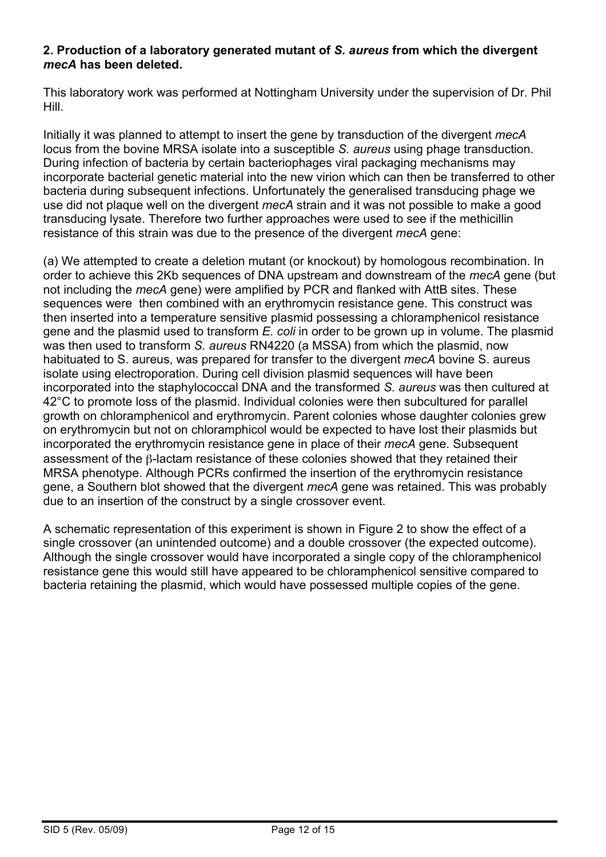#### **2. Production of a laboratory generated mutant of** *S. aureus* **from which the divergent**  *mecA* **has been deleted.**

This laboratory work was performed at Nottingham University under the supervision of Dr. Phil Hill.

Initially it was planned to attempt to insert the gene by transduction of the divergent *mecA* locus from the bovine MRSA isolate into a susceptible *S. aureus* using phage transduction. During infection of bacteria by certain bacteriophages viral packaging mechanisms may incorporate bacterial genetic material into the new virion which can then be transferred to other bacteria during subsequent infections. Unfortunately the generalised transducing phage we use did not plaque well on the divergent *mecA* strain and it was not possible to make a good transducing lysate. Therefore two further approaches were used to see if the methicillin resistance of this strain was due to the presence of the divergent *mecA* gene:

(a) We attempted to create a deletion mutant (or knockout) by homologous recombination. In order to achieve this 2Kb sequences of DNA upstream and downstream of the *mecA* gene (but not including the *mecA* gene) were amplified by PCR and flanked with AttB sites. These sequences were then combined with an erythromycin resistance gene. This construct was then inserted into a temperature sensitive plasmid possessing a chloramphenicol resistance gene and the plasmid used to transform *E. coli* in order to be grown up in volume. The plasmid was then used to transform *S. aureus* RN4220 (a MSSA) from which the plasmid, now habituated to S. aureus, was prepared for transfer to the divergent *mecA* bovine S. aureus isolate using electroporation. During cell division plasmid sequences will have been incorporated into the staphylococcal DNA and the transformed *S. aureus* was then cultured at 42°C to promote loss of the plasmid. Individual colonies were then subcultured for parallel growth on chloramphenicol and erythromycin. Parent colonies whose daughter colonies grew on erythromycin but not on chloramphicol would be expected to have lost their plasmids but incorporated the erythromycin resistance gene in place of their *mecA* gene. Subsequent assessment of the β-lactam resistance of these colonies showed that they retained their MRSA phenotype. Although PCRs confirmed the insertion of the erythromycin resistance gene, a Southern blot showed that the divergent *mecA* gene was retained. This was probably due to an insertion of the construct by a single crossover event.

A schematic representation of this experiment is shown in Figure 2 to show the effect of a single crossover (an unintended outcome) and a double crossover (the expected outcome). Although the single crossover would have incorporated a single copy of the chloramphenicol resistance gene this would still have appeared to be chloramphenicol sensitive compared to bacteria retaining the plasmid, which would have possessed multiple copies of the gene.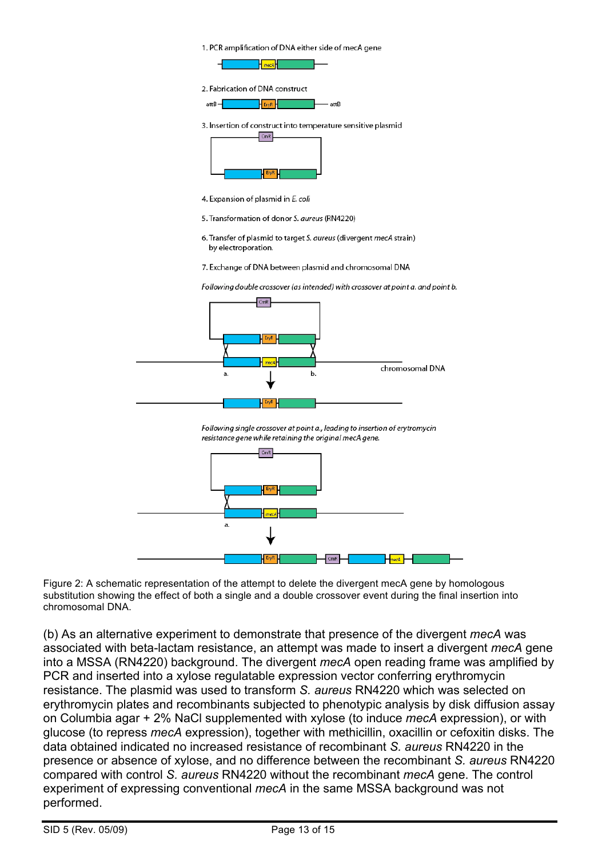



4. Expansion of plasmid in E. coli

6. Transfer of plasmid to target S. aureus (divergent mecA strain) by electroporation.

7. Exchange of DNA between plasmid and chromosomal DNA

Following double crossover (as intended) with crossover at point a, and point b.



Following single crossover at point a., leading to insertion of erytromycin resistance gene while retaining the original mecA gene.



Figure 2: A schematic representation of the attempt to delete the divergent mecA gene by homologous substitution showing the effect of both a single and a double crossover event during the final insertion into chromosomal DNA.

(b) As an alternative experiment to demonstrate that presence of the divergent *mecA* was associated with beta-lactam resistance, an attempt was made to insert a divergent *mecA* gene into a MSSA (RN4220) background. The divergent *mecA* open reading frame was amplified by PCR and inserted into a xylose regulatable expression vector conferring erythromycin resistance. The plasmid was used to transform *S. aureus* RN4220 which was selected on erythromycin plates and recombinants subjected to phenotypic analysis by disk diffusion assay on Columbia agar + 2% NaCl supplemented with xylose (to induce *mecA* expression), or with glucose (to repress *mecA* expression), together with methicillin, oxacillin or cefoxitin disks. The data obtained indicated no increased resistance of recombinant *S. aureus* RN4220 in the presence or absence of xylose, and no difference between the recombinant *S. aureus* RN4220 compared with control *S. aureus* RN4220 without the recombinant *mecA* gene. The control experiment of expressing conventional *mecA* in the same MSSA background was not performed.

<sup>5.</sup> Transformation of donor S. aureus (RN4220)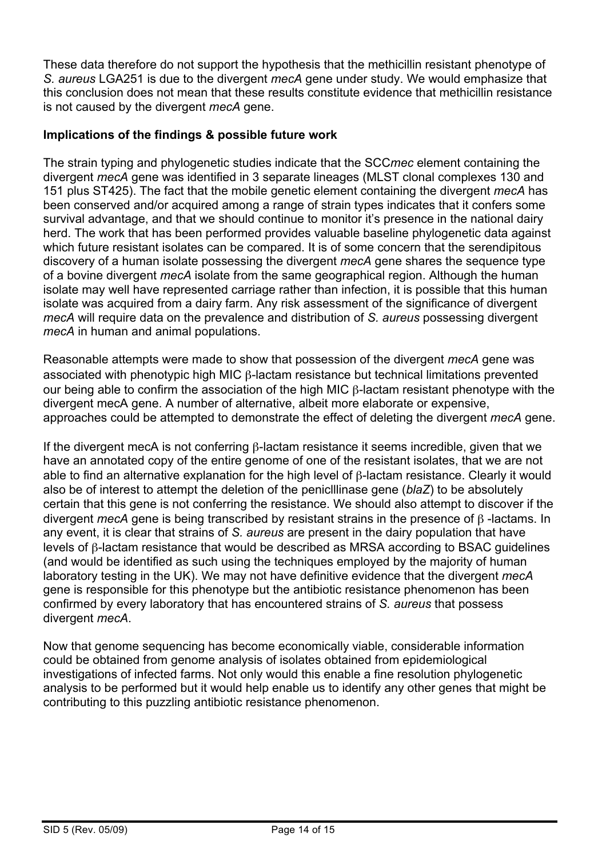These data therefore do not support the hypothesis that the methicillin resistant phenotype of *S. aureus* LGA251 is due to the divergent *mecA* gene under study. We would emphasize that this conclusion does not mean that these results constitute evidence that methicillin resistance is not caused by the divergent *mecA* gene.

#### **Implications of the findings & possible future work**

The strain typing and phylogenetic studies indicate that the SCC*mec* element containing the divergent *mecA* gene was identified in 3 separate lineages (MLST clonal complexes 130 and 151 plus ST425). The fact that the mobile genetic element containing the divergent *mecA* has been conserved and/or acquired among a range of strain types indicates that it confers some survival advantage, and that we should continue to monitor it's presence in the national dairy herd. The work that has been performed provides valuable baseline phylogenetic data against which future resistant isolates can be compared. It is of some concern that the serendipitous discovery of a human isolate possessing the divergent *mecA* gene shares the sequence type of a bovine divergent *mecA* isolate from the same geographical region. Although the human isolate may well have represented carriage rather than infection, it is possible that this human isolate was acquired from a dairy farm. Any risk assessment of the significance of divergent *mecA* will require data on the prevalence and distribution of *S. aureus* possessing divergent *mecA* in human and animal populations.

Reasonable attempts were made to show that possession of the divergent *mecA* gene was associated with phenotypic high MIC β-lactam resistance but technical limitations prevented our being able to confirm the association of the high MIC β-lactam resistant phenotype with the divergent mecA gene. A number of alternative, albeit more elaborate or expensive, approaches could be attempted to demonstrate the effect of deleting the divergent *mecA* gene.

If the divergent mecA is not conferring β-lactam resistance it seems incredible, given that we have an annotated copy of the entire genome of one of the resistant isolates, that we are not able to find an alternative explanation for the high level of β-lactam resistance. Clearly it would also be of interest to attempt the deletion of the peniclllinase gene (*blaZ*) to be absolutely certain that this gene is not conferring the resistance. We should also attempt to discover if the divergent *mecA* gene is being transcribed by resistant strains in the presence of β -lactams. In any event, it is clear that strains of *S. aureus* are present in the dairy population that have levels of β-lactam resistance that would be described as MRSA according to BSAC guidelines (and would be identified as such using the techniques employed by the majority of human laboratory testing in the UK). We may not have definitive evidence that the divergent *mecA* gene is responsible for this phenotype but the antibiotic resistance phenomenon has been confirmed by every laboratory that has encountered strains of *S. aureus* that possess divergent *mecA*.

Now that genome sequencing has become economically viable, considerable information could be obtained from genome analysis of isolates obtained from epidemiological investigations of infected farms. Not only would this enable a fine resolution phylogenetic analysis to be performed but it would help enable us to identify any other genes that might be contributing to this puzzling antibiotic resistance phenomenon.